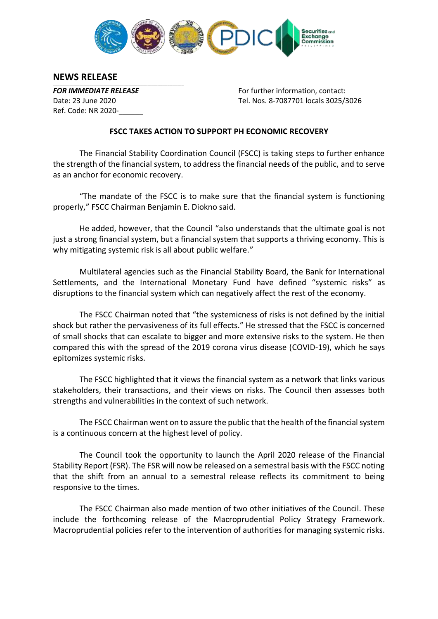

## **NEWS RELEASE**

 $\mathcal{L} = \{ \mathcal{L} = \{ \mathcal{L} = \{ \mathcal{L} = \{ \mathcal{L} = \{ \mathcal{L} = \{ \mathcal{L} = \{ \mathcal{L} = \{ \mathcal{L} = \{ \mathcal{L} = \{ \mathcal{L} = \{ \mathcal{L} = \{ \mathcal{L} = \{ \mathcal{L} = \{ \mathcal{L} = \{ \mathcal{L} = \{ \mathcal{L} = \{ \mathcal{L} = \{ \mathcal{L} = \{ \mathcal{L} = \{ \mathcal{L} = \{ \mathcal{L} = \{ \mathcal{L} = \{ \mathcal{L} = \{ \mathcal{$ Ref. Code: NR 2020-\_\_\_\_\_\_

**FOR IMMEDIATE RELEASE** FOR THE FOR IMMEDIATE RELEASE Date: 23 June 2020 Tel. Nos. 8-7087701 locals 3025/3026

## **FSCC TAKES ACTION TO SUPPORT PH ECONOMIC RECOVERY**

The Financial Stability Coordination Council (FSCC) is taking steps to further enhance the strength of the financial system, to address the financial needs of the public, and to serve as an anchor for economic recovery.

"The mandate of the FSCC is to make sure that the financial system is functioning properly," FSCC Chairman Benjamin E. Diokno said.

He added, however, that the Council "also understands that the ultimate goal is not just a strong financial system, but a financial system that supports a thriving economy. This is why mitigating systemic risk is all about public welfare."

Multilateral agencies such as the Financial Stability Board, the Bank for International Settlements, and the International Monetary Fund have defined "systemic risks" as disruptions to the financial system which can negatively affect the rest of the economy.

The FSCC Chairman noted that "the systemicness of risks is not defined by the initial shock but rather the pervasiveness of its full effects." He stressed that the FSCC is concerned of small shocks that can escalate to bigger and more extensive risks to the system. He then compared this with the spread of the 2019 corona virus disease (COVID-19), which he says epitomizes systemic risks.

The FSCC highlighted that it views the financial system as a network that links various stakeholders, their transactions, and their views on risks. The Council then assesses both strengths and vulnerabilities in the context of such network.

The FSCC Chairman went on to assure the public that the health of the financial system is a continuous concern at the highest level of policy.

The Council took the opportunity to launch the April 2020 release of the Financial Stability Report (FSR). The FSR will now be released on a semestral basis with the FSCC noting that the shift from an annual to a semestral release reflects its commitment to being responsive to the times.

The FSCC Chairman also made mention of two other initiatives of the Council. These include the forthcoming release of the Macroprudential Policy Strategy Framework. Macroprudential policies refer to the intervention of authorities for managing systemic risks.